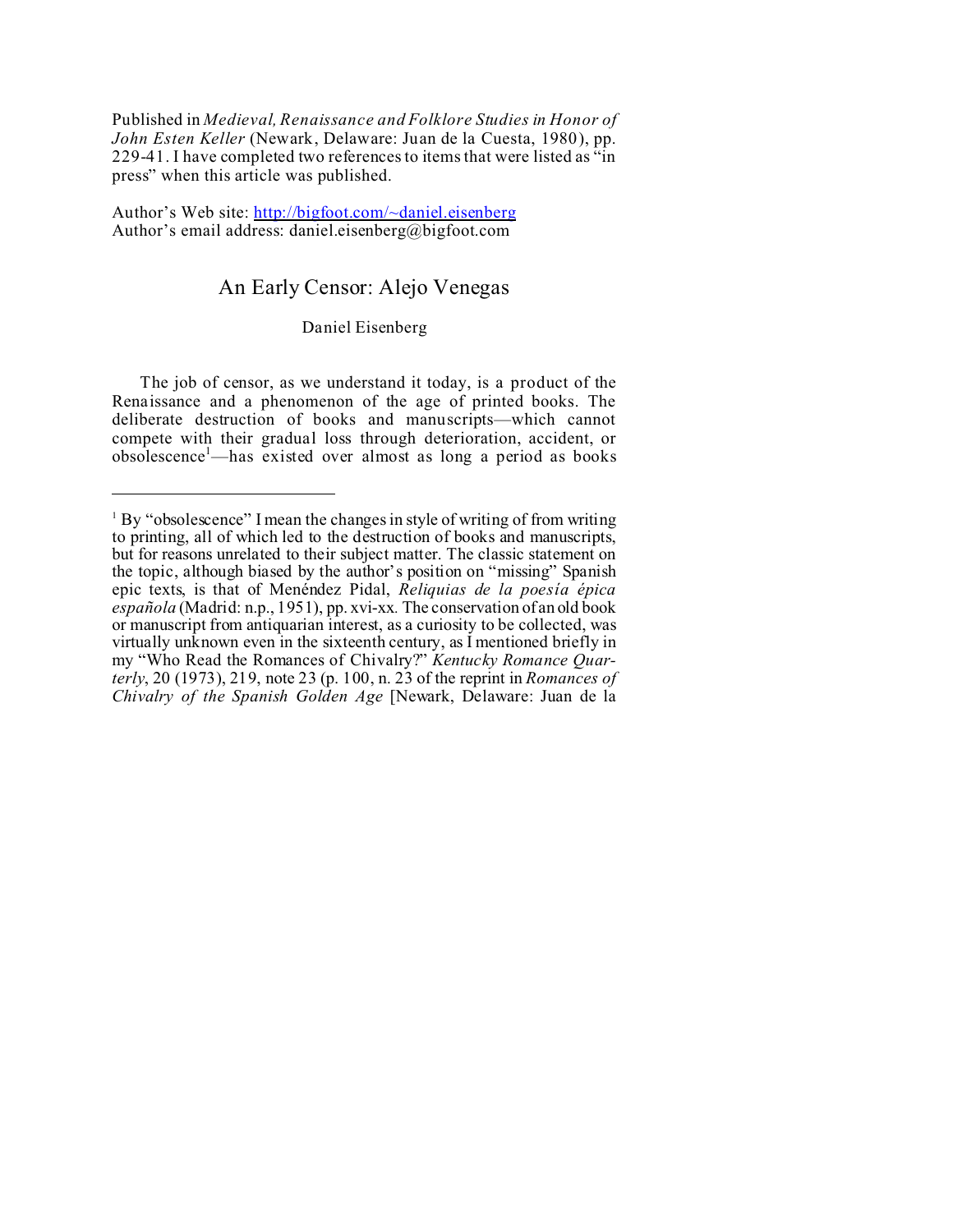Published in *Medieval, Renaissance and Folklore Studies in Honor of John Esten Keller* (Newark, Delaware: Juan de la Cuesta, 1980), pp. 229-41. I have completed two references to items that were listed as "in press" when this article was published.

Author's Web site:<http://bigfoot.com/~daniel.eisenberg> Author's email address: daniel.eisenberg@bigfoot.com

## An Early Censor: Alejo Venegas

## Daniel Eisenberg

The job of censor, as we understand it today, is a product of the Renaissance and a phenomenon of the age of printed books. The deliberate destruction of books and manuscripts—which cannot compete with their gradual loss through deterioration, accident, or  $obsolescence<sup>1</sup>$ —has existed over almost as long a period as books

<sup>&</sup>lt;sup>1</sup> By "obsolescence" I mean the changes in style of writing of from writing to printing, all of which led to the destruction of books and manuscripts, but for reasons unrelated to their subject matter. The classic statement on the topic, although biased by the author's position on "missing" Spanish epic texts, is that of Menéndez Pidal, *Reliquias de la poesía épica española* (Madrid: n.p., 1951), pp. xvi-xx*.* The conservation of an old book or manuscript from antiquarian interest, as a curiosity to be collected, was virtually unknown even in the sixteenth century, as I mentioned briefly in my "Who Read the Romances of Chivalry?" *Kentucky Romance Quarterly*, 20 (1973), 219, note 23 (p. 100, n. 23 of the reprint in *Romances of Chivalry of the Spanish Golden Age* [Newark, Delaware: Juan de la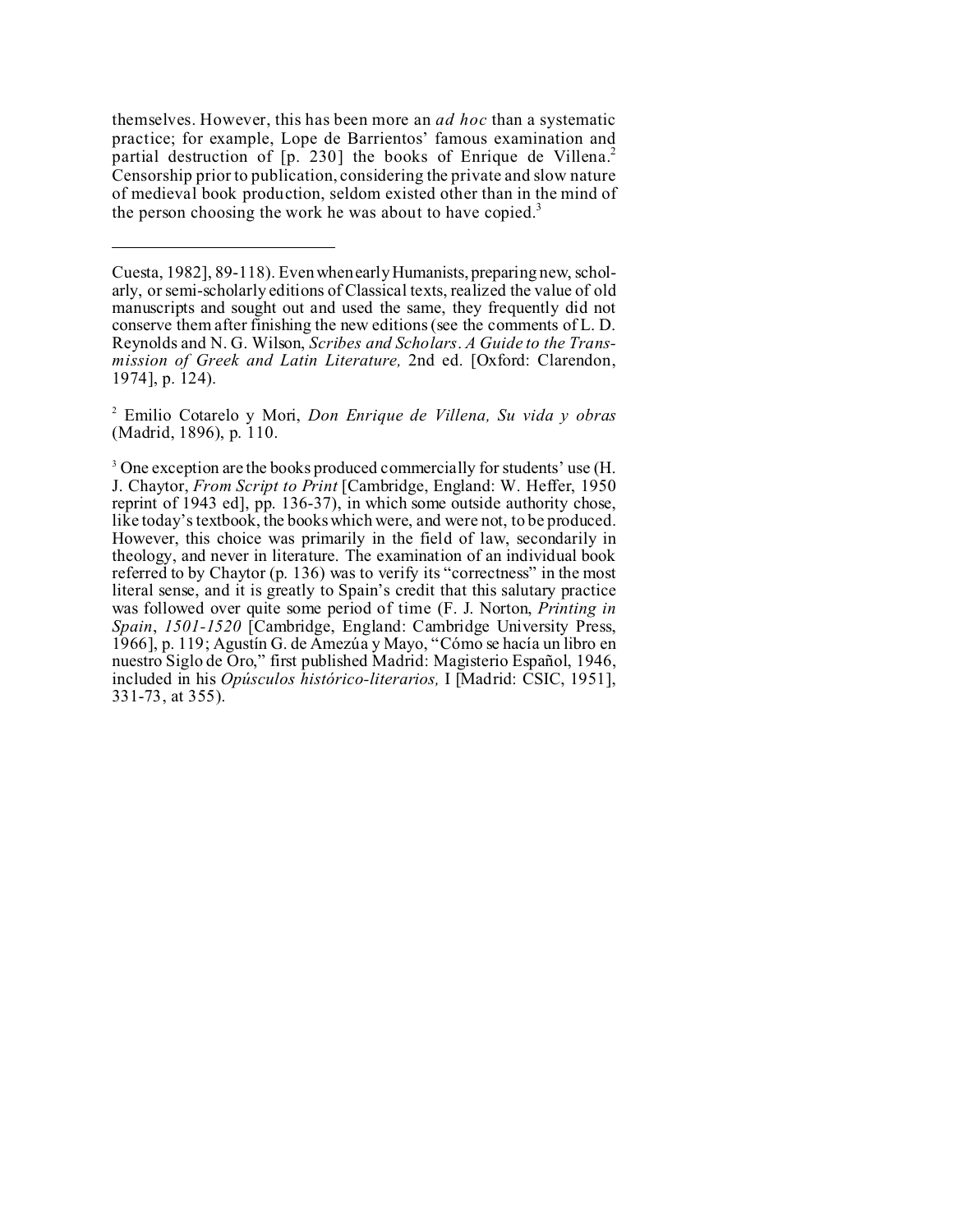themselves. However, this has been more an *ad hoc* than a systematic practice; for example, Lope de Barrientos' famous examination and partial destruction of [p. 230] the books of Enrique de Villena.<sup>2</sup> Censorship prior to publication, considering the private and slow nature of medieval book production, seldom existed other than in the mind of the person choosing the work he was about to have copied.<sup>3</sup>

2 Emilio Cotarelo y Mori, *Don Enrique de Villena, Su vida y obras* (Madrid, 1896), p. 110.

Cuesta, 1982], 89-118). Even when early Humanists, preparing new, scholarly, or semi-scholarly editions of Classical texts, realized the value of old manuscripts and sought out and used the same, they frequently did not conserve them after finishing the new editions (see the comments of L. D. Reynolds and N. G. Wilson, *Scribes and Scholars*. *A Guide to the Transmission of Greek and Latin Literature,* 2nd ed. [Oxford: Clarendon, 1974], p. 124).

<sup>&</sup>lt;sup>3</sup> One exception are the books produced commercially for students' use (H. J. Chaytor, *From Script to Print* [Cambridge, England: W. Heffer, 1950 reprint of 1943 ed], pp. 136-37), in which some outside authority chose, like today's textbook, the books which were, and were not, to be produced. However, this choice was primarily in the field of law, secondarily in theology, and never in literature. The examination of an individual book referred to by Chaytor (p. 136) was to verify its "correctness" in the most literal sense, and it is greatly to Spain's credit that this salutary practice was followed over quite some period of time (F. J. Norton, *Printing in Spain*, *1501-1520* [Cambridge, England: Cambridge University Press, 1966], p. 119; Agustín G. de Amezúa y Mayo, "Cómo se hacía un libro en nuestro Siglo de Oro," first published Madrid: Magisterio Español, 1946, included in his *Opúsculos histórico-literarios,* I [Madrid: CSIC, 1951], 331-73, at 355).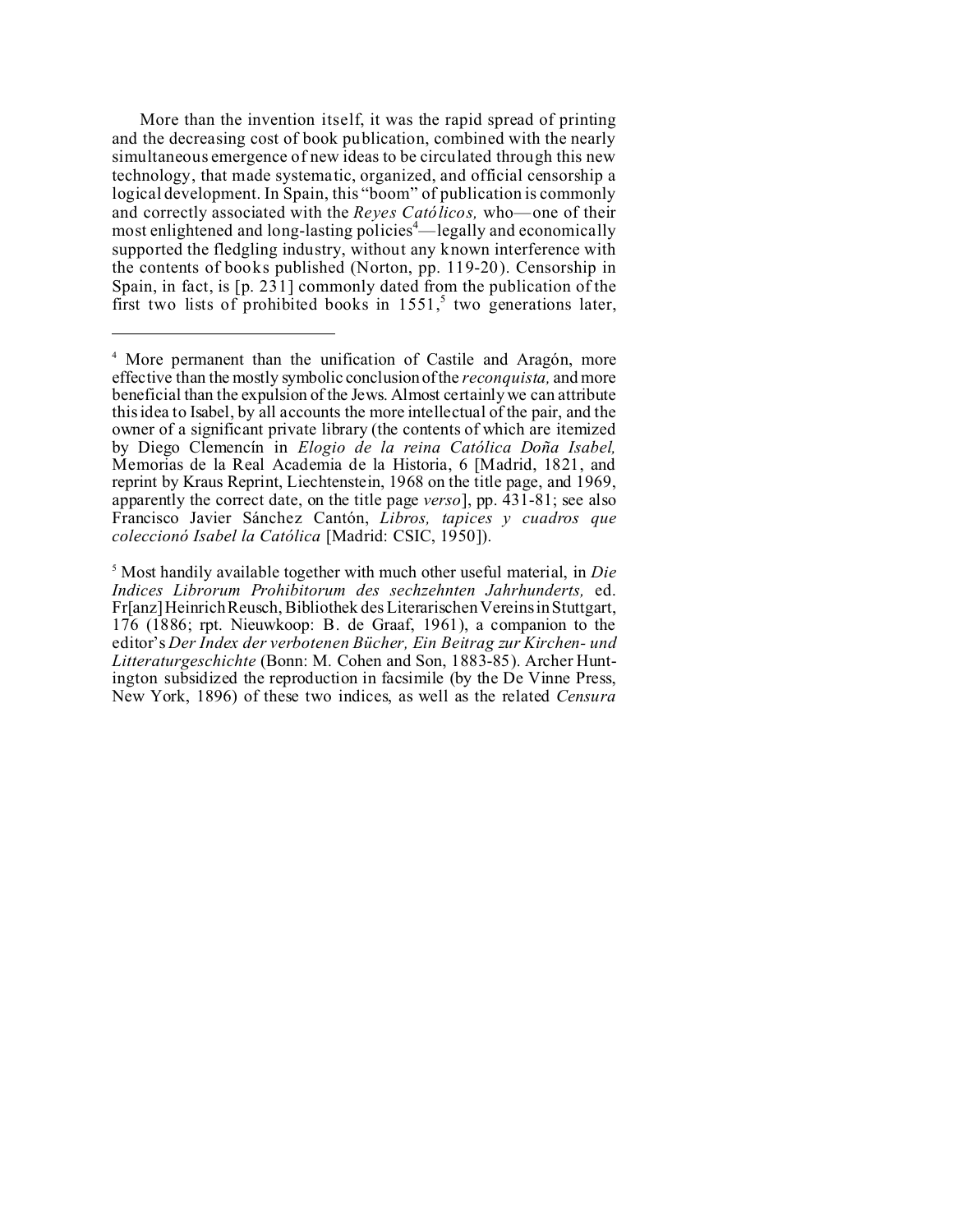More than the invention itself, it was the rapid spread of printing and the decreasing cost of book publication, combined with the nearly simultaneous emergence of new ideas to be circulated through this new technology, that made systematic, organized, and official censorship a logical development. In Spain, this "boom" of publication is commonly and correctly associated with the *Reyes Católicos,* who—one of their most enlightened and long-lasting policies<sup>4</sup>—legally and economically supported the fledgling industry, without any known interference with the contents of books published (Norton, pp. 119-20). Censorship in Spain, in fact, is  $[p. 231]$  commonly dated from the publication of the first two lists of prohibited books in  $1551$ ,<sup>5</sup> two generations later,

5 Most handily available together with much other useful material, in *Die Indices Librorum Prohibitorum des sechzehnten Jahrhunderts,* ed. Fr[anz] Heinrich Reusch, Bibliothek des Literarischen Vereins in Stuttgart, 176 (1886; rpt. Nieuwkoop: B. de Graaf, 1961), a companion to the editor's *Der Index der verbotenen Bücher, Ein Beitrag zur Kirchen- und Litteraturgeschichte* (Bonn: M. Cohen and Son, 1883-85). Archer Huntington subsidized the reproduction in facsimile (by the De Vinne Press, New York, 1896) of these two indices, as well as the related *Censura*

<sup>4</sup> More permanent than the unification of Castile and Aragón, more effective than the mostly symbolic conclusion of the *reconquista,* and more beneficial than the expulsion of the Jews. Almost certainly we can attribute this idea to Isabel, by all accounts the more intellectual of the pair, and the owner of a significant private library (the contents of which are itemized by Diego Clemencín in *Elogio de la reina Católica Doña Isabel,* Memorias de la Real Academia de la Historia, 6 [Madrid, 1821, and reprint by Kraus Reprint, Liechtenstein, 1968 on the title page, and 1969, apparently the correct date, on the title page *verso*], pp. 431-81; see also Francisco Javier Sánchez Cantón, *Libros, tapices y cuadros que coleccionó Isabel la Católica* [Madrid: CSIC, 1950]).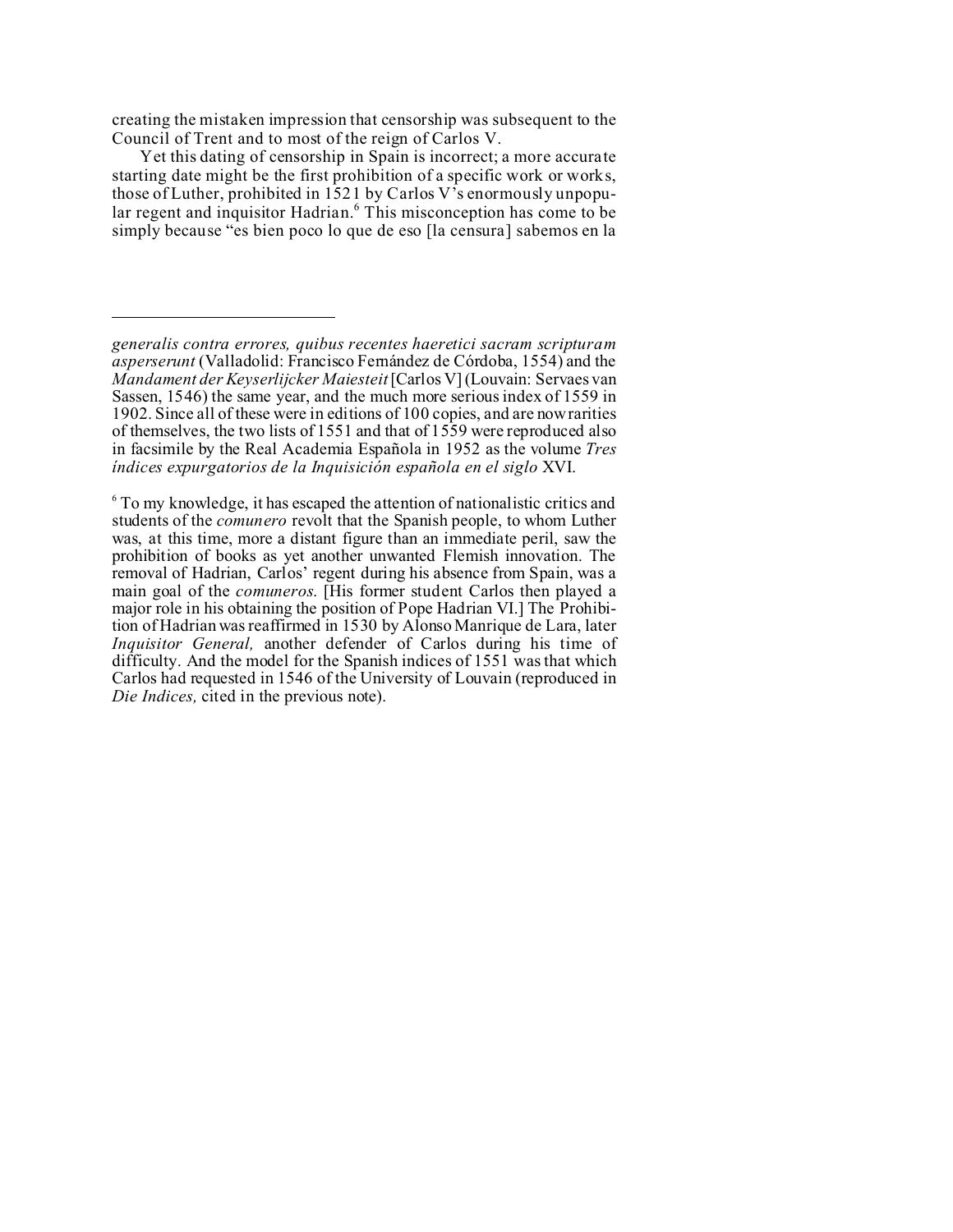creating the mistaken impression that censorship was subsequent to the Council of Trent and to most of the reign of Carlos V.

Yet this dating of censorship in Spain is incorrect; a more accurate starting date might be the first prohibition of a specific work or works, those of Luther, prohibited in 1521 by Carlos V's enormously unpopular regent and inquisitor Hadrian.<sup>6</sup> This misconception has come to be simply because "es bien poco lo que de eso [la censura] sabemos en la

<sup>6</sup> To my knowledge, it has escaped the attention of nationalistic critics and students of the *comunero* revolt that the Spanish people, to whom Luther was, at this time, more a distant figure than an immediate peril, saw the prohibition of books as yet another unwanted Flemish innovation. The removal of Hadrian, Carlos' regent during his absence from Spain, was a main goal of the *comuneros*. [His former student Carlos then played a major role in his obtaining the position of Pope Hadrian VI.] The Prohibition of Hadrian was reaffirmed in 1530 by Alonso Manrique de Lara, later *Inquisitor General,* another defender of Carlos during his time of difficulty. And the model for the Spanish indices of 1551 was that which Carlos had requested in 1546 of the University of Louvain (reproduced in *Die Indices,* cited in the previous note).

*generalis contra errores, quibus recentes haeretici sacram scripturam asperserunt* (Valladolid: Francisco Fernández de Córdoba, 1554) and the *Mandament der Keyserlijcker Maiesteit* [Carlos V] (Louvain: Servaes van Sassen, 1546) the same year, and the much more serious index of 1559 in 1902. Since all of these were in editions of 100 copies, and are now rarities of themselves, the two lists of 1551 and that of 1559 were reproduced also in facsimile by the Real Academia Española in 1952 as the volume *Tres índices expurgatorios de la Inquisición española en el siglo* XVI.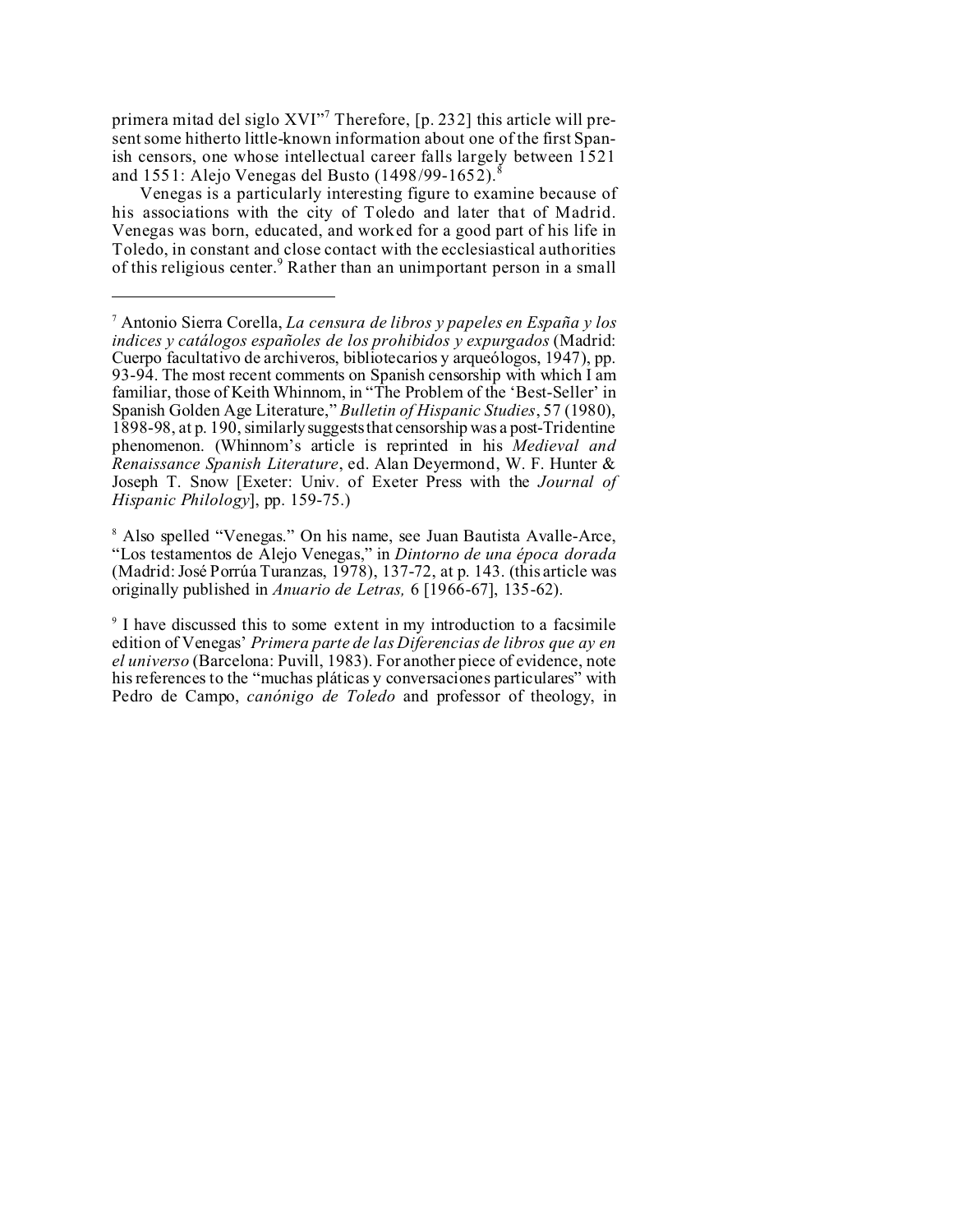primera mitad del siglo XVI"<sup>7</sup> Therefore, [p. 232] this article will present some hitherto little-known information about one of the first Spanish censors, one whose intellectual career falls largely between 1521 and 1551: Alejo Venegas del Busto (1498/99-1652).<sup>8</sup>

Venegas is a particularly interesting figure to examine because of his associations with the city of Toledo and later that of Madrid. Venegas was born, educated, and worked for a good part of his life in Toledo, in constant and close contact with the ecclesiastical authorities of this religious center.<sup>9</sup> Rather than an unimportant person in a small

8 Also spelled "Venegas." On his name, see Juan Bautista Avalle-Arce, "Los testamentos de Alejo Venegas," in *Dintorno de una época dorada* (Madrid: José Porrúa Turanzas, 1978), 137-72, at p. 143. (this article was originally published in *Anuario de Letras,* 6 [1966-67], 135-62).

9 I have discussed this to some extent in my introduction to a facsimile edition of Venegas' *Primera parte de las Diferencias de libros que ay en el universo* (Barcelona: Puvill, 1983). For another piece of evidence, note his references to the "muchas pláticas y conversaciones particulares" with Pedro de Campo, *canónigo de Toledo* and professor of theology, in

<sup>7</sup> Antonio Sierra Corella, *La censura de libros y papeles en España y los indices y catálogos españoles de los prohibidos y expurgados* (Madrid: Cuerpo facultativo de archiveros, bibliotecarios y arqueólogos, 1947), pp. 93-94. The most recent comments on Spanish censorship with which I am familiar, those of Keith Whinnom, in "The Problem of the 'Best-Seller' in Spanish Golden Age Literature," *Bulletin of Hispanic Studies*, 57 (1980), 1898-98, at p. 190, similarly suggests that censorship was a post-Tridentine phenomenon. (Whinnom's article is reprinted in his *Medieval and Renaissance Spanish Literature*, ed. Alan Deyermond, W. F. Hunter & Joseph T. Snow [Exeter: Univ. of Exeter Press with the *Journal of Hispanic Philology*], pp. 159-75.)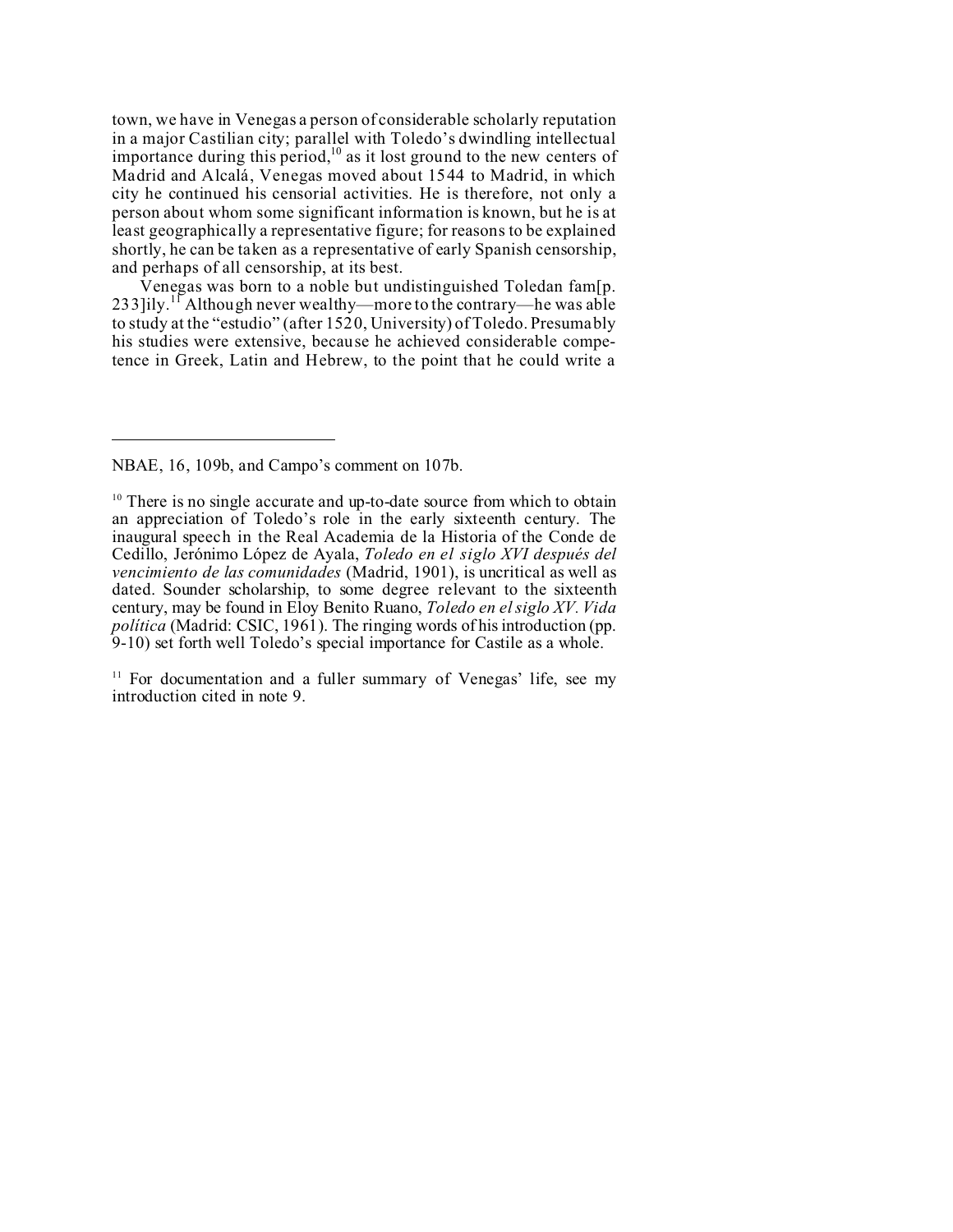town, we have in Venegas a person of considerable scholarly reputation in a major Castilian city; parallel with Toledo's dwindling intellectual importance during this period,<sup>10</sup> as it lost ground to the new centers of Madrid and Alcalá, Venegas moved about 1544 to Madrid, in which city he continued his censorial activities. He is therefore, not only a person about whom some significant information is known, but he is at least geographically a representative figure; for reasons to be explained shortly, he can be taken as a representative of early Spanish censorship, and perhaps of all censorship, at its best.

Venegas was born to a noble but undistinguished Toledan fam[p. 233]ily.<sup>11</sup> Although never wealthy—more to the contrary—he was able to study at the "estudio" (after 1520, University) of Toledo. Presumably his studies were extensive, because he achieved considerable competence in Greek, Latin and Hebrew, to the point that he could write a

<sup>11</sup> For documentation and a fuller summary of Venegas' life, see my introduction cited in note 9.

NBAE, 16, 109b, and Campo's comment on 107b.

 $10$  There is no single accurate and up-to-date source from which to obtain an appreciation of Toledo's role in the early sixteenth century. The inaugural speech in the Real Academia de la Historia of the Conde de Cedillo, Jerónimo López de Ayala, *Toledo en el siglo XVI después del vencimiento de las comunidades* (Madrid, 1901), is uncritical as well as dated. Sounder scholarship, to some degree relevant to the sixteenth century, may be found in Eloy Benito Ruano, *Toledo en el siglo XV. Vida política* (Madrid: CSIC, 1961). The ringing words of his introduction (pp. 9-10) set forth well Toledo's special importance for Castile as a whole.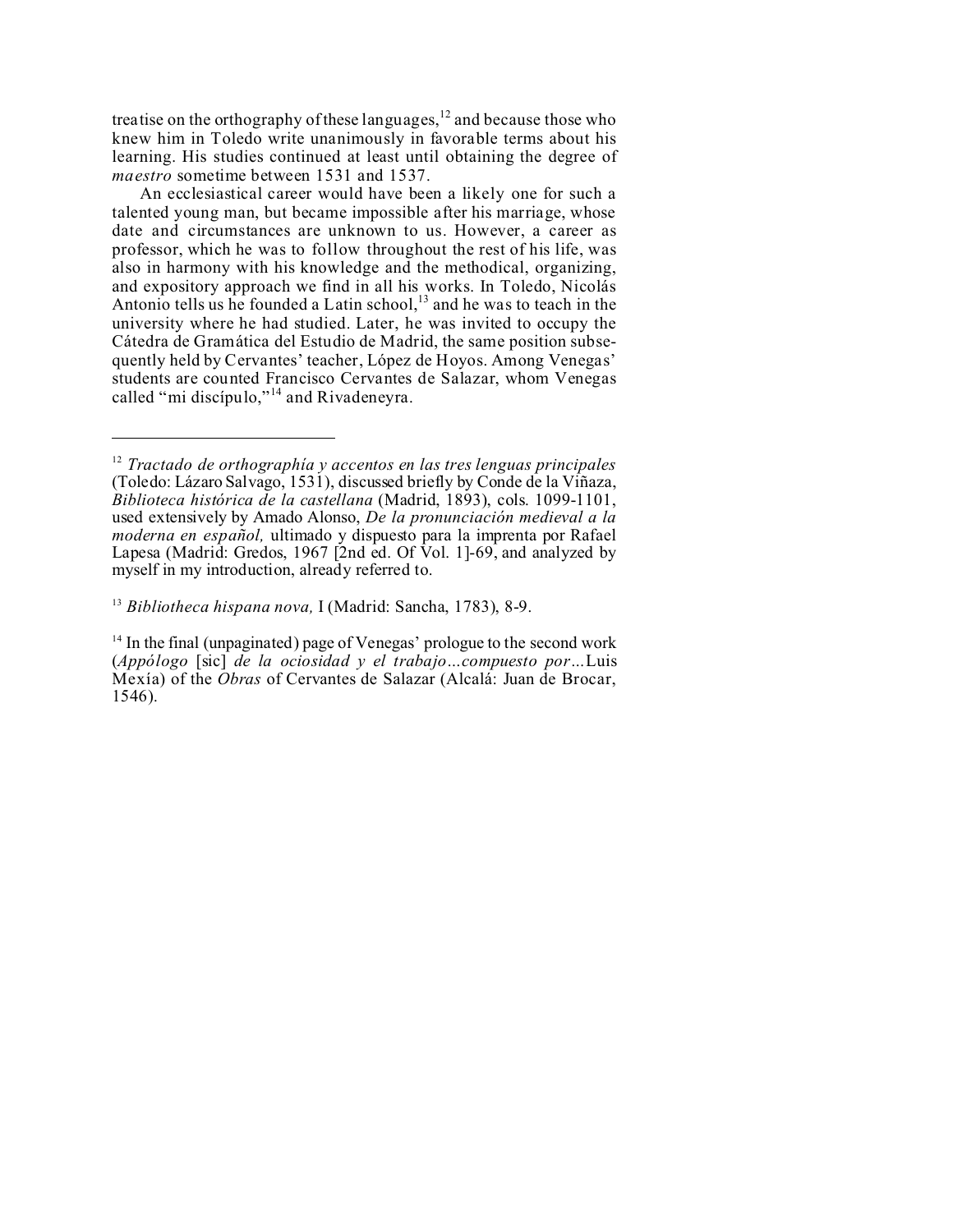treatise on the orthography of these languages,<sup>12</sup> and because those who knew him in Toledo write unanimously in favorable terms about his learning. His studies continued at least until obtaining the degree of *maestro* sometime between 1531 and 1537.

An ecclesiastical career would have been a likely one for such a talented young man, but became impossible after his marriage, whose date and circumstances are unknown to us. However, a career as professor, which he was to follow throughout the rest of his life, was also in harmony with his knowledge and the methodical, organizing, and expository approach we find in all his works. In Toledo, Nicolás Antonio tells us he founded a Latin school,<sup>13</sup> and he was to teach in the university where he had studied. Later, he was invited to occupy the Cátedra de Gramática del Estudio de Madrid, the same position subsequently held by Cervantes' teacher, López de Hoyos. Among Venegas' students are counted Francisco Cervantes de Salazar, whom Venegas called "mi discípulo,"<sup>14</sup> and Rivadeneyra.

<sup>12</sup> *Tractado de orthographía y accentos en las tres lenguas principales* (Toledo: Lázaro Salvago, 1531), discussed briefly by Conde de la Viñaza, *Biblioteca histórica de la castellana* (Madrid, 1893), cols. 1099-1101, used extensively by Amado Alonso, *De la pronunciación medieval a la moderna en español,* ultimado y dispuesto para la imprenta por Rafael Lapesa (Madrid: Gredos, 1967 [2nd ed. Of Vol. 1]-69, and analyzed by myself in my introduction, already referred to.

<sup>13</sup> *Bibliotheca hispana nova,* I (Madrid: Sancha, 1783), 8-9.

<sup>&</sup>lt;sup>14</sup> In the final (unpaginated) page of Venegas' prologue to the second work (*Appólogo* [sic] *de la ociosidad y el trabajo…compuesto por…*Luis Mexía) of the *Obras* of Cervantes de Salazar (Alcalá: Juan de Brocar,  $1546$ ).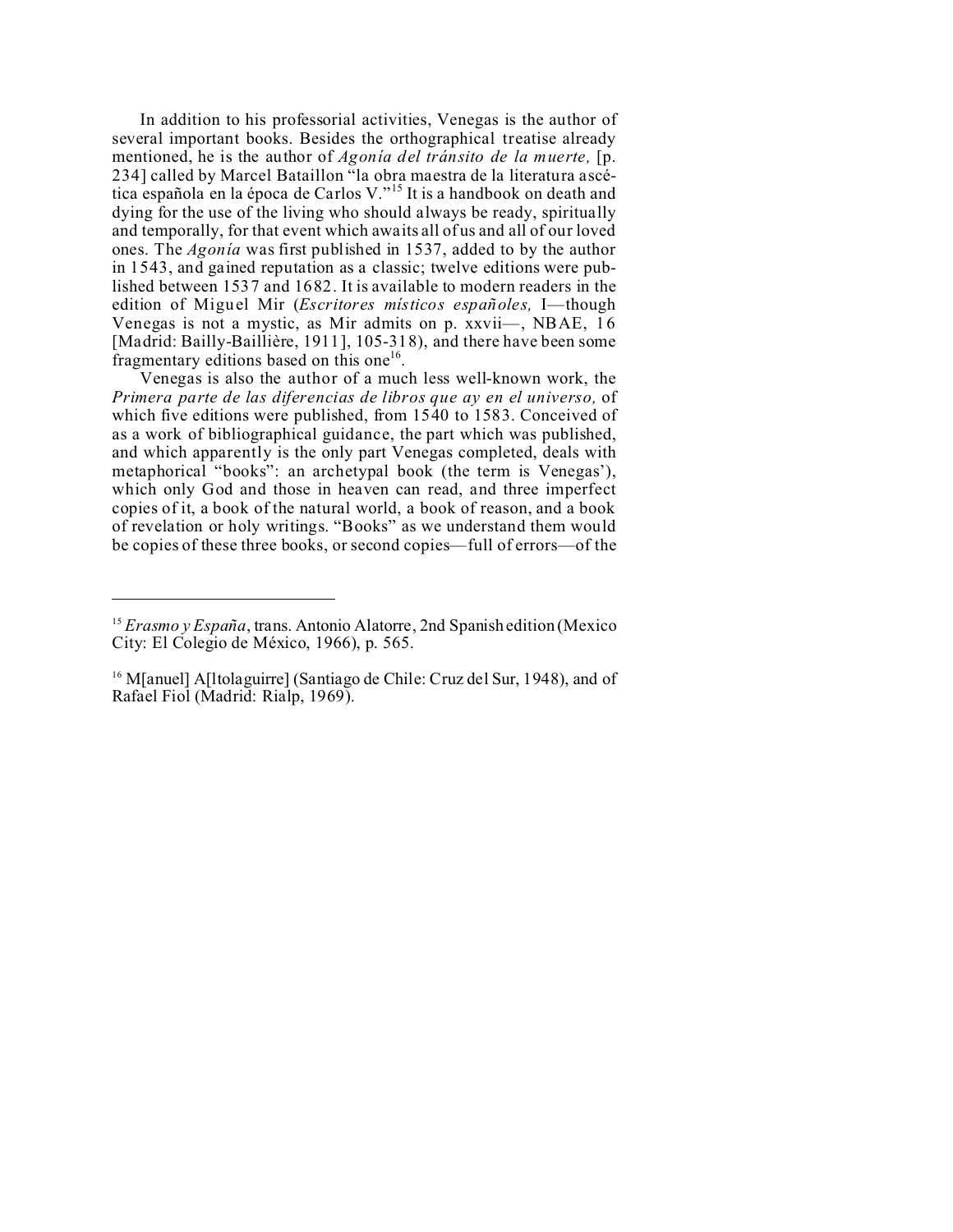In addition to his professorial activities, Venegas is the author of several important books. Besides the orthographical treatise already mentioned, he is the author of *Agonía del tránsito de la muerte,* [p. 234] called by Marcel Bataillon "la obra maestra de la literatura ascética española en la época de Carlos V."<sup>15</sup> It is a handbook on death and dying for the use of the living who should always be ready, spiritually and temporally, for that event which awaits all of us and all of our loved ones. The *Agonía* was first published in 1537, added to by the author in 1543, and gained reputation as a classic; twelve editions were published between 1537 and 1682. It is available to modern readers in the edition of Miguel Mir (*Escritores místicos españoles,* I—though Venegas is not a mystic, as Mir admits on p. xxvii—, NBAE, 16 [Madrid: Bailly-Baillière, 1911], 105-318), and there have been some fragmentary editions based on this one<sup>16</sup>.

Venegas is also the author of a much less well-known work, the *Primera parte de las diferencias de libros que ay en el universo,* of which five editions were published, from 1540 to 1583. Conceived of as a work of bibliographical guidance, the part which was published, and which apparently is the only part Venegas completed, deals with metaphorical "books": an archetypal book (the term is Venegas'), which only God and those in heaven can read, and three imperfect copies of it, a book of the natural world, a book of reason, and a book of revelation or holy writings. "Books" as we understand them would be copies of these three books, or second copies—full of errors—of the

<sup>15</sup> *Erasmo y España*, trans. Antonio Alatorre, 2nd Spanish edition (Mexico City: El Colegio de México, 1966), p. 565.

<sup>&</sup>lt;sup>16</sup> M[anuel] A[ltolaguirre] (Santiago de Chile: Cruz del Sur, 1948), and of Rafael Fiol (Madrid: Rialp, 1969).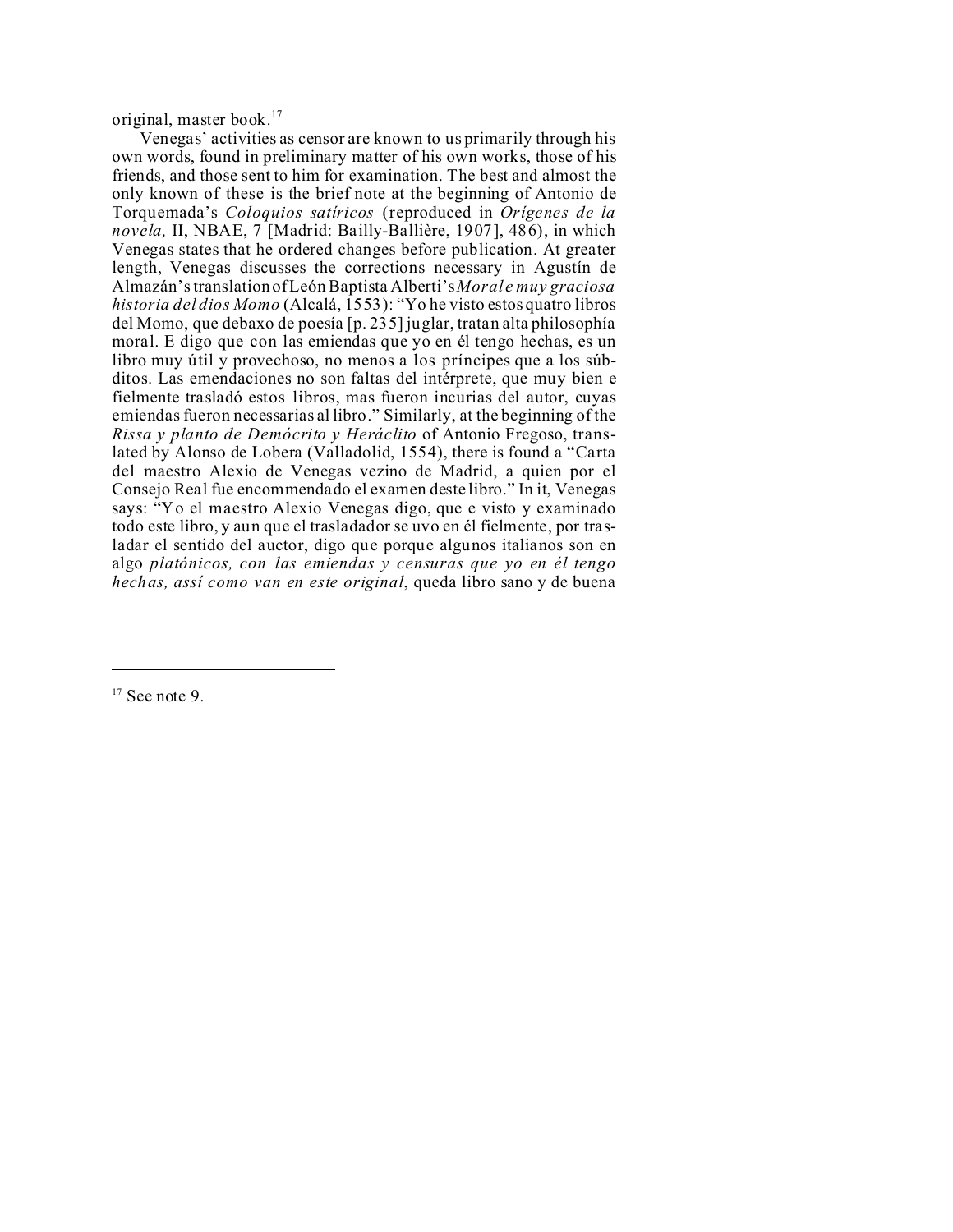original, master book.<sup>17</sup>

Venegas' activities as censor are known to us primarily through his own words, found in preliminary matter of his own works, those of his friends, and those sent to him for examination. The best and almost the only known of these is the brief note at the beginning of Antonio de Torquemada's *Coloquios satíricos* (reproduced in *Orígenes de la novela,* II, NBAE, 7 [Madrid: Bailly-Ballière, 1907], 486), in which Venegas states that he ordered changes before publication. At greater length, Venegas discusses the corrections necessary in Agustín de Almazán's translation of León Baptista Alberti's *Moral e muy graciosa historia del dios Momo* (Alcalá, 1553): "Yo he visto estos quatro libros del Momo, que debaxo de poesía [p. 235] juglar, tratan alta philosophía moral. E digo que con las emiendas que yo en él tengo hechas, es un libro muy útil y provechoso, no menos a los príncipes que a los súbditos. Las emendaciones no son faltas del intérprete, que muy bien e fielmente trasladó estos libros, mas fueron incurias del autor, cuyas emiendas fueron necessarias al libro." Similarly, at the beginning of the *Rissa y planto de Demócrito y Heráclito* of Antonio Fregoso, translated by Alonso de Lobera (Valladolid, 1554), there is found a "Carta del maestro Alexio de Venegas vezino de Madrid, a quien por el Consejo Real fue encommendado el examen deste libro." In it, Venegas says: "Yo el maestro Alexio Venegas digo, que e visto y examinado todo este libro, y aun que el trasladador se uvo en él fielmente, por trasladar el sentido del auctor, digo que porque algunos italianos son en algo *platónicos, con las emiendas y censuras que yo en él tengo hechas, assí como van en este original*, queda libro sano y de buena

 $17$  See note 9.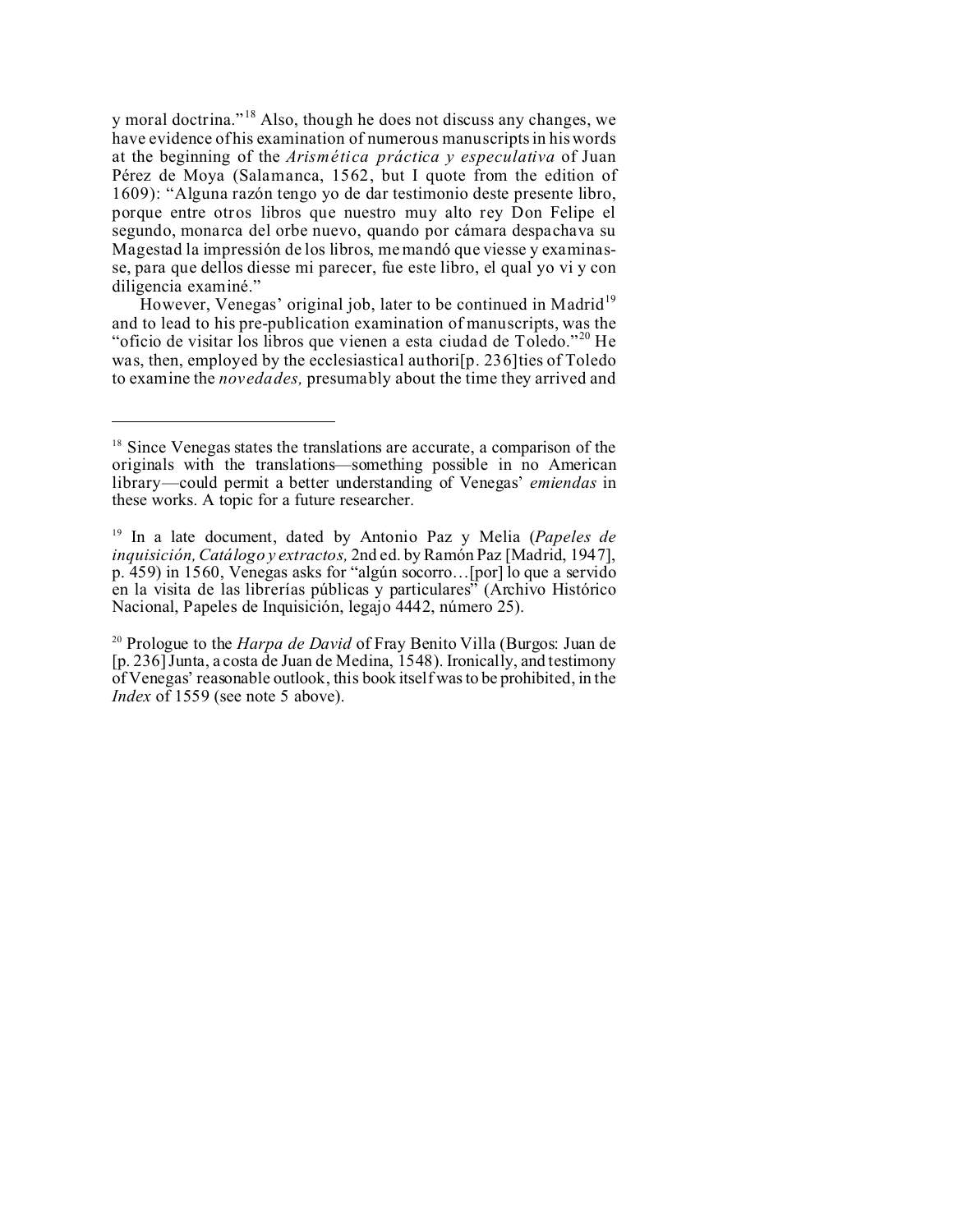y moral doctrina."<sup>18</sup> Also, though he does not discuss any changes, we have evidence of his examination of numerous manuscripts in his words at the beginning of the *Arismética práctica y especulativa* of Juan Pérez de Moya (Salamanca, 1562, but I quote from the edition of 1609): "Alguna razón tengo yo de dar testimonio deste presente libro, porque entre otros libros que nuestro muy alto rey Don Felipe el segundo, monarca del orbe nuevo, quando por cámara despachava su Magestad la impressión de los libros, me mandó que viesse y examinasse, para que dellos diesse mi parecer, fue este libro, el qual yo vi y con diligencia examiné."

However, Venegas' original job, later to be continued in Madrid<sup>19</sup> and to lead to his pre-publication examination of manuscripts, was the "oficio de visitar los libros que vienen a esta ciudad de Toledo."<sup>20</sup> He was, then, employed by the ecclesiastical authori[p. 236]ties of Toledo to examine the *novedades,* presumably about the time they arrived and

 $18$  Since Venegas states the translations are accurate, a comparison of the originals with the translations—something possible in no American library—could permit a better understanding of Venegas' *emiendas* in these works. A topic for a future researcher.

<sup>19</sup> In a late document, dated by Antonio Paz y Melia (*Papeles de inquisición, Catálogo y extractos,* 2nd ed. by Ramón Paz [Madrid, 1947], p. 459) in 1560, Venegas asks for "algún socorro…[por] lo que a servido en la visita de las librerías públicas y particulares" (Archivo Histórico Nacional, Papeles de Inquisición, legajo 4442, número 25).

<sup>20</sup> Prologue to the *Harpa de David* of Fray Benito Villa (Burgos: Juan de [p. 236] Junta, a costa de Juan de Medina, 1548). Ironically, and testimony of Venegas' reasonable outlook, this book itself was to be prohibited, in the *Index* of 1559 (see note 5 above).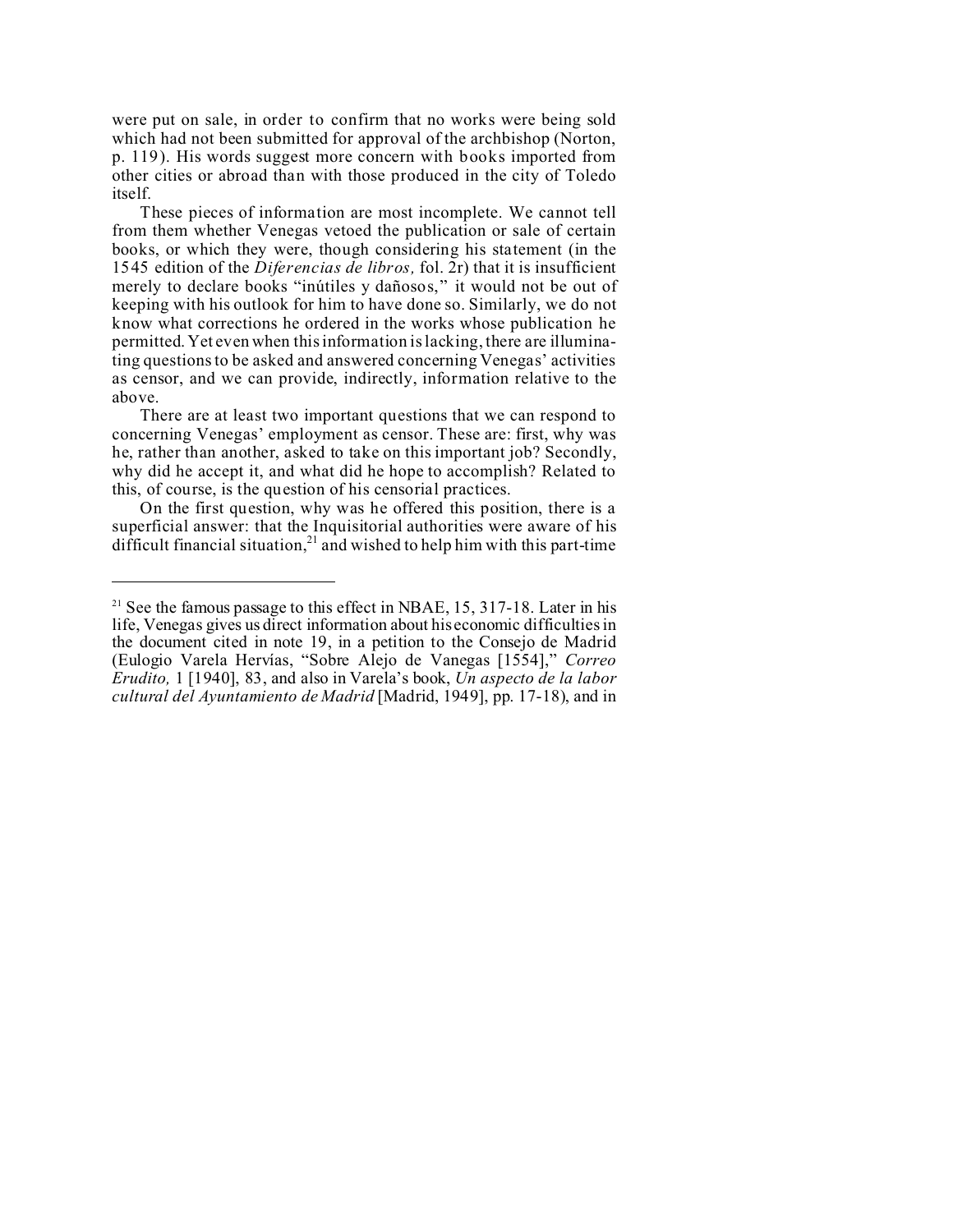were put on sale, in order to confirm that no works were being sold which had not been submitted for approval of the archbishop (Norton, p. 119). His words suggest more concern with books imported from other cities or abroad than with those produced in the city of Toledo itself.

These pieces of information are most incomplete. We cannot tell from them whether Venegas vetoed the publication or sale of certain books, or which they were, though considering his statement (in the 1545 edition of the *Diferencias de libros,* fol. 2r) that it is insufficient merely to declare books "inútiles y dañosos," it would not be out of keeping with his outlook for him to have done so. Similarly, we do not know what corrections he ordered in the works whose publication he permitted. Yet even when this information is lacking, there are illuminating questions to be asked and answered concerning Venegas' activities as censor, and we can provide, indirectly, information relative to the above.

There are at least two important questions that we can respond to concerning Venegas' employment as censor. These are: first, why was he, rather than another, asked to take on this important job? Secondly, why did he accept it, and what did he hope to accomplish? Related to this, of course, is the question of his censorial practices.

On the first question, why was he offered this position, there is a superficial answer: that the Inquisitorial authorities were aware of his difficult financial situation, $^{21}$  and wished to help him with this part-time

<sup>&</sup>lt;sup>21</sup> See the famous passage to this effect in NBAE, 15, 317-18. Later in his life, Venegas gives us direct information about his economic difficulties in the document cited in note 19, in a petition to the Consejo de Madrid (Eulogio Varela Hervías, "Sobre Alejo de Vanegas [1554]," *Correo Erudito,* 1 [1940], 83, and also in Varela's book, *Un aspecto de la labor cultural del Ayuntamiento de Madrid* [Madrid, 1949], pp. 17-18), and in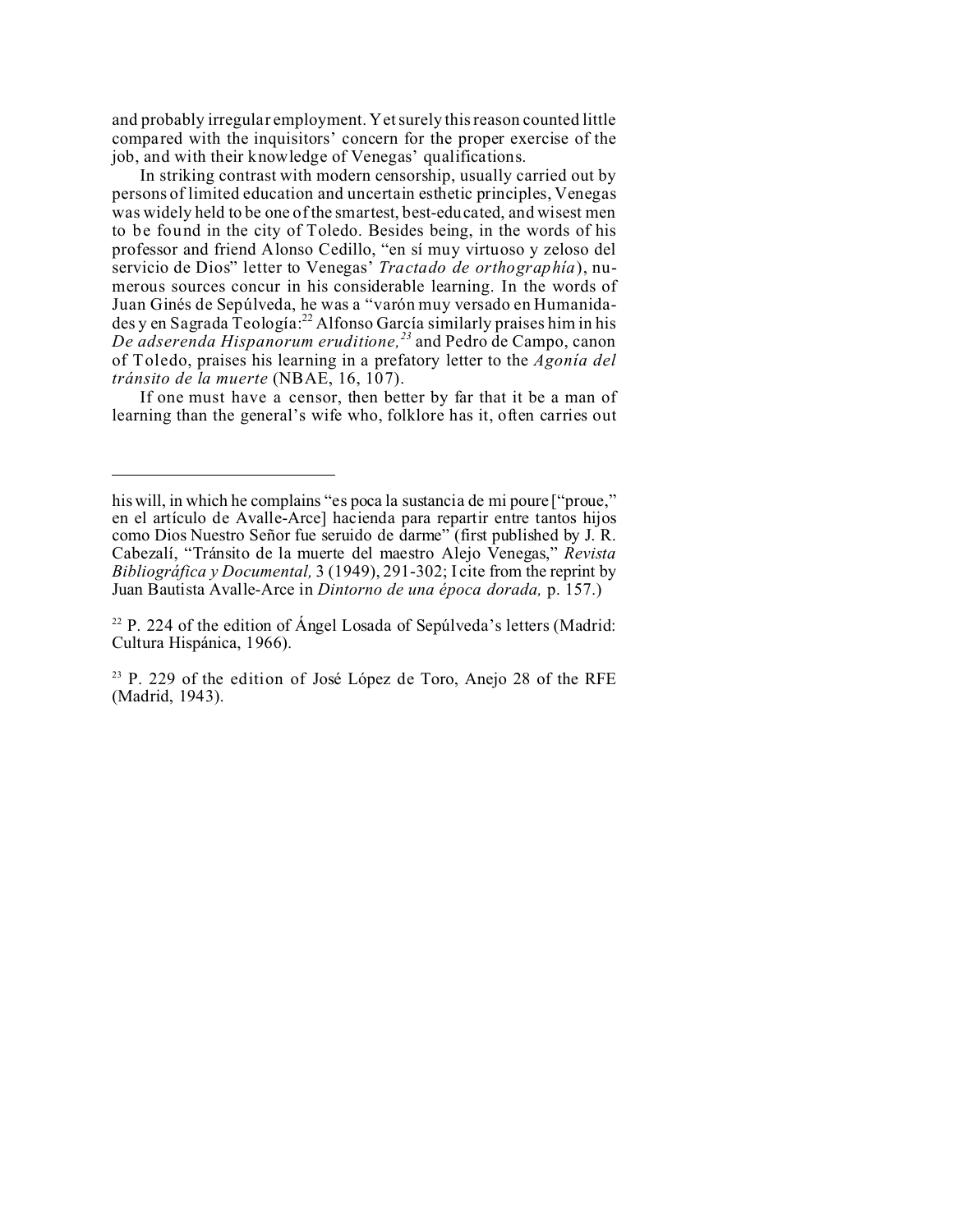and probably irregular employment. Yet surely this reason counted little compared with the inquisitors' concern for the proper exercise of the job, and with their knowledge of Venegas' qualifications.

In striking contrast with modern censorship, usually carried out by persons of limited education and uncertain esthetic principles, Venegas was widely held to be one of the smartest, best-educated, and wisest men to be found in the city of Toledo. Besides being, in the words of his professor and friend Alonso Cedillo, "en sí muy virtuoso y zeloso del servicio de Dios" letter to Venegas' *Tractado de orthographía*), numerous sources concur in his considerable learning. In the words of Juan Ginés de Sepúlveda, he was a "varón muy versado en Humanida- $\frac{d}{dx}$  en Sagrada  $\frac{d}{dx}$  reología:<sup>22</sup> Alfonso García similarly praises him in his *De adserenda Hispanorum eruditione,<sup>23</sup>* and Pedro de Campo, canon of Toledo, praises his learning in a prefatory letter to the *Agonía del tránsito de la muerte* (NBAE, 16, 107).

If one must have a censor, then better by far that it be a man of learning than the general's wife who, folklore has it, often carries out

his will, in which he complains "es poca la sustancia de mi poure ["proue," en el artículo de Avalle-Arce] hacienda para repartir entre tantos hijos como Dios Nuestro Señor fue seruido de darme" (first published by J. R. Cabezalí, "Tránsito de la muerte del maestro Alejo Venegas," *Revista Bibliográfica y Documental,* 3 (1949), 291-302; I cite from the reprint by Juan Bautista Avalle-Arce in *Dintorno de una época dorada,* p. 157.)

 $22$  P. 224 of the edition of Ángel Losada of Sepúlveda's letters (Madrid: Cultura Hispánica, 1966).

 $23$  P. 229 of the edition of José López de Toro, Anejo 28 of the RFE (Madrid, 1943).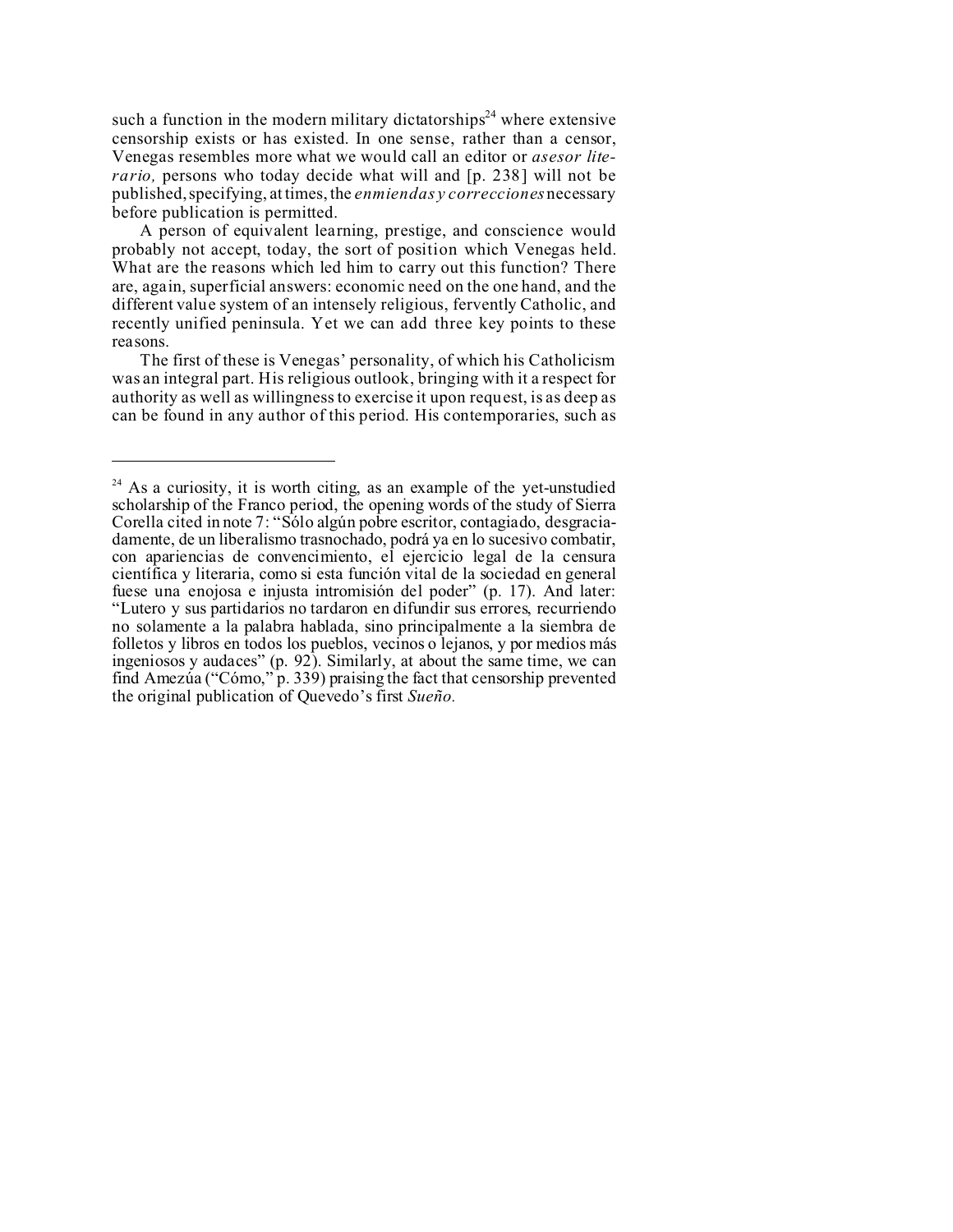such a function in the modern military dictatorships<sup>24</sup> where extensive censorship exists or has existed. In one sense, rather than a censor, Venegas resembles more what we would call an editor or *asesor literario,* persons who today decide what will and [p. 238] will not be published, specifying, at times, the *enmiendas y correcciones* necessary before publication is permitted.

A person of equivalent learning, prestige, and conscience would probably not accept, today, the sort of position which Venegas held. What are the reasons which led him to carry out this function? There are, again, superficial answers: economic need on the one hand, and the different value system of an intensely religious, fervently Catholic, and recently unified peninsula. Yet we can add three key points to these reasons.

The first of these is Venegas' personality, of which his Catholicism was an integral part. His religious outlook, bringing with it a respect for authority as well as willingness to exercise it upon request, is as deep as can be found in any author of this period. His contemporaries, such as

 $24$  As a curiosity, it is worth citing, as an example of the yet-unstudied scholarship of the Franco period, the opening words of the study of Sierra Corella cited in note 7: "Sólo algún pobre escritor, contagiado, desgraciadamente, de un liberalismo trasnochado, podrá ya en lo sucesivo combatir, con apariencias de convencimiento, el ejercicio legal de la censura científica y literaria, como si esta función vital de la sociedad en general fuese una enojosa e injusta intromisión del poder" (p. 17). And later: "Lutero y sus partidarios no tardaron en difundir sus errores, recurriendo no solamente a la palabra hablada, sino principalmente a la siembra de folletos y libros en todos los pueblos, vecinos o lejanos, y por medios más ingeniosos y audaces" (p. 92). Similarly, at about the same time, we can find Amezúa ("Cómo," p. 339) praising the fact that censorship prevented the original publication of Quevedo's first *Sueño.*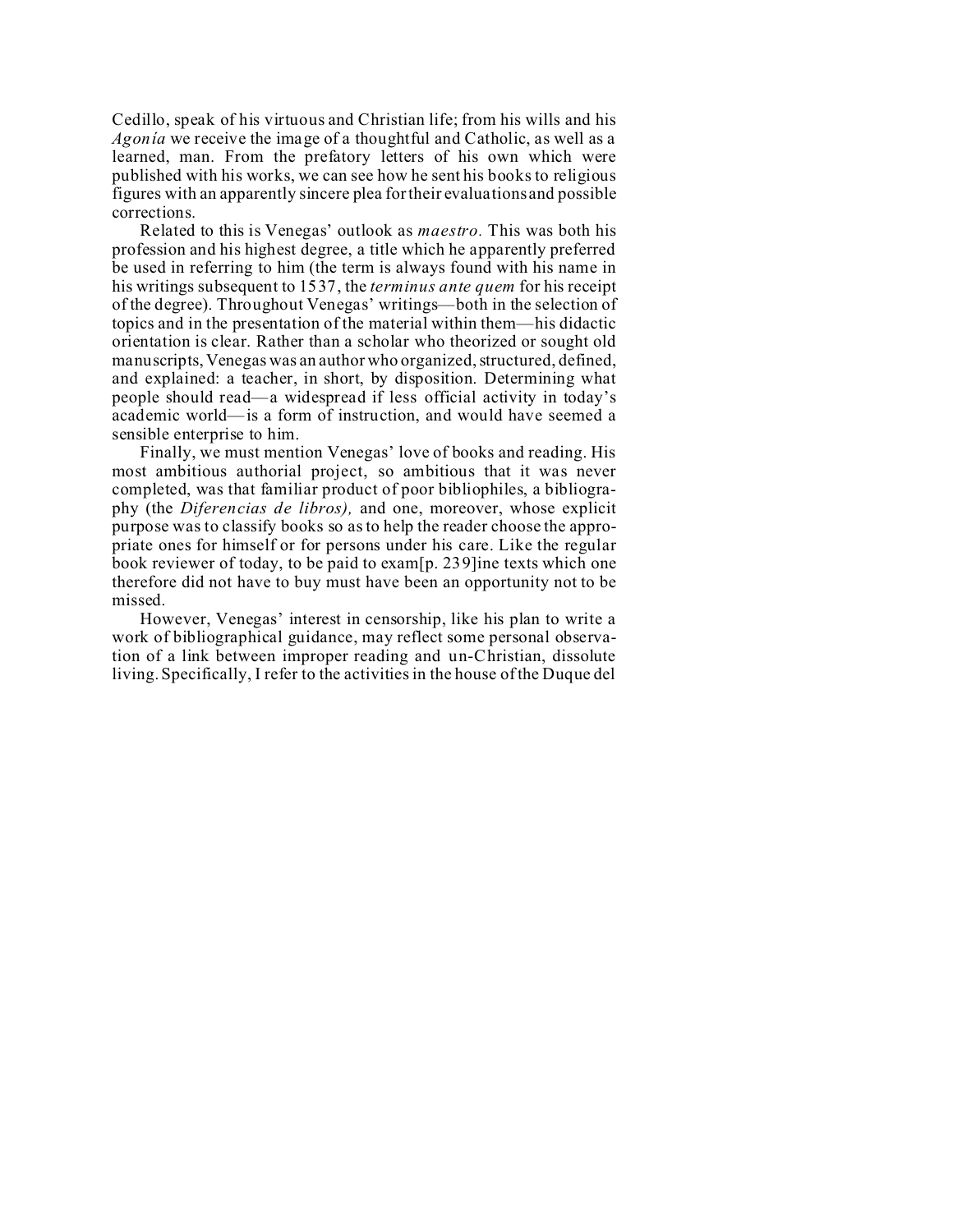Cedillo, speak of his virtuous and Christian life; from his wills and his *Agonía* we receive the image of a thoughtful and Catholic, as well as a learned, man. From the prefatory letters of his own which were published with his works, we can see how he sent his books to religious figures with an apparently sincere plea for their evaluations and possible corrections.

Related to this is Venegas' outlook as *maestro.* This was both his profession and his highest degree, a title which he apparently preferred be used in referring to him (the term is always found with his name in his writings subsequent to 1537, the *terminus ante quem* for his receipt of the degree). Throughout Venegas' writings—both in the selection of topics and in the presentation of the material within them—his didactic orientation is clear. Rather than a scholar who theorized or sought old manuscripts, Venegas was an author who organized, structured, defined, and explained: a teacher, in short, by disposition. Determining what people should read—a widespread if less official activity in today's academic world—is a form of instruction, and would have seemed a sensible enterprise to him.

Finally, we must mention Venegas' love of books and reading. His most ambitious authorial project, so ambitious that it was never completed, was that familiar product of poor bibliophiles, a bibliography (the *Diferencias de libros),* and one, moreover, whose explicit purpose was to classify books so as to help the reader choose the appropriate ones for himself or for persons under his care. Like the regular book reviewer of today, to be paid to exam[p. 239]ine texts which one therefore did not have to buy must have been an opportunity not to be missed.

However, Venegas' interest in censorship, like his plan to write a work of bibliographical guidance, may reflect some personal observation of a link between improper reading and un-Christian, dissolute living. Specifically, I refer to the activities in the house of the Duque del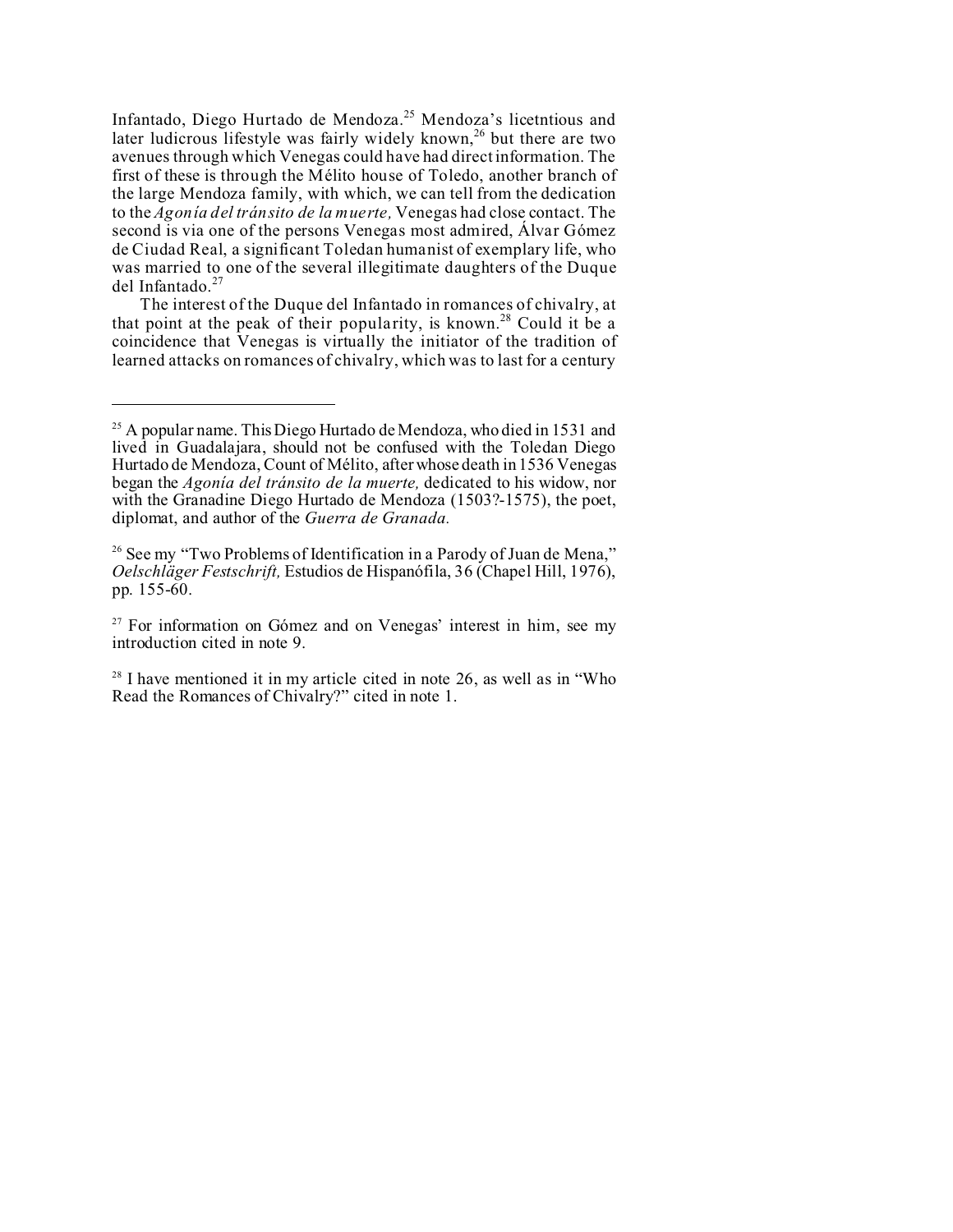Infantado, Diego Hurtado de Mendoza.<sup>25</sup> Mendoza's licetntious and later ludicrous lifestyle was fairly widely known,<sup>26</sup> but there are two avenues through which Venegas could have had direct information. The first of these is through the Mélito house of Toledo, another branch of the large Mendoza family, with which, we can tell from the dedication to the *Agonía del tránsito de la muerte,* Venegas had close contact. The second is via one of the persons Venegas most admired, Álvar Gómez de Ciudad Real, a significant Toledan humanist of exemplary life, who was married to one of the several illegitimate daughters of the Duque del Infantado.<sup>27</sup>

The interest of the Duque del Infantado in romances of chivalry, at that point at the peak of their popularity, is known.<sup>28</sup> Could it be a coincidence that Venegas is virtually the initiator of the tradition of learned attacks on romances of chivalry, which was to last for a century

<sup>&</sup>lt;sup>25</sup> A popular name. This Diego Hurtado de Mendoza, who died in 1531 and lived in Guadalajara, should not be confused with the Toledan Diego Hurtado de Mendoza, Count of Mélito, after whose death in 1536 Venegas began the *Agonía del tránsito de la muerte,* dedicated to his widow, nor with the Granadine Diego Hurtado de Mendoza (1503?-1575), the poet, diplomat, and author of the *Guerra de Granada.*

<sup>&</sup>lt;sup>26</sup> See my "Two Problems of Identification in a Parody of Juan de Mena," *Oelschläger Festschrift,* Estudios de Hispanófila, 36 (Chapel Hill, 1976), pp. 155-60.

 $27$  For information on Gómez and on Venegas' interest in him, see my introduction cited in note 9.

 $28$  I have mentioned it in my article cited in note 26, as well as in "Who" Read the Romances of Chivalry?" cited in note 1.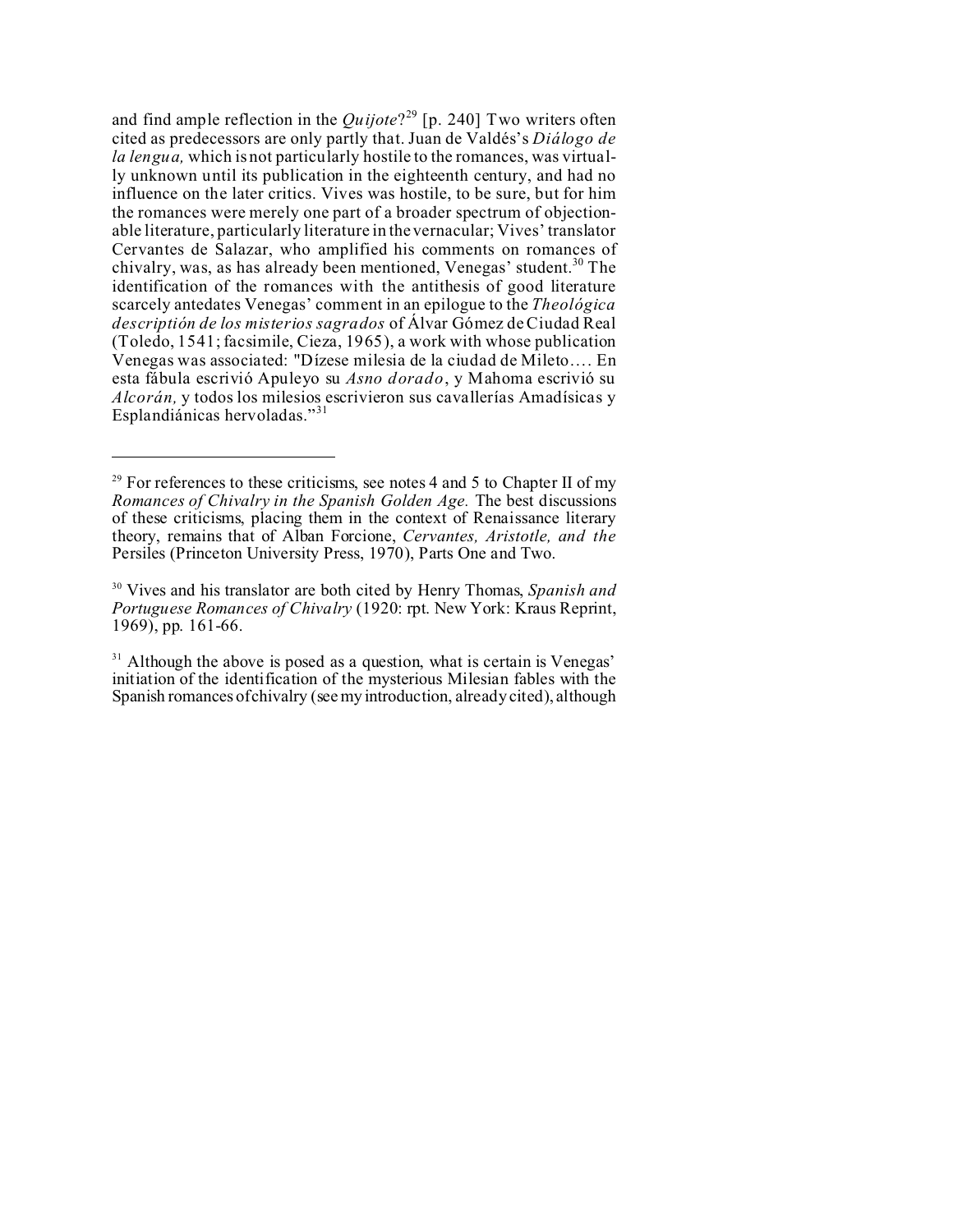and find ample reflection in the *Quijote*? <sup>29</sup> [p. 240] Two writers often cited as predecessors are only partly that. Juan de Valdés's *Diálogo de la lengua,* which is not particularly hostile to the romances, was virtually unknown until its publication in the eighteenth century, and had no influence on the later critics. Vives was hostile, to be sure, but for him the romances were merely one part of a broader spectrum of objectionable literature, particularly literature in the vernacular; Vives' translator Cervantes de Salazar, who amplified his comments on romances of chivalry, was, as has already been mentioned, Venegas' student.<sup>30</sup> The identification of the romances with the antithesis of good literature scarcely antedates Venegas' comment in an epilogue to the *Theológica descriptión de los misterios sagrados* of Álvar Gómez de Ciudad Real (Toledo, 1541; facsimile, Cieza, 1965), a work with whose publication Venegas was associated: "Dízese milesia de la ciudad de Mileto…. En esta fábula escrivió Apuleyo su *Asno dorado*, y Mahoma escrivió su *Alcorán,* y todos los milesios escrivieron sus cavallerías Amadísicas y Esplandiánicas hervoladas."<sup>31</sup>

<sup>&</sup>lt;sup>29</sup> For references to these criticisms, see notes 4 and 5 to Chapter II of my *Romances of Chivalry in the Spanish Golden Age.* The best discussions of these criticisms, placing them in the context of Renaissance literary theory, remains that of Alban Forcione, *Cervantes, Aristotle, and the* Persiles (Princeton University Press, 1970), Parts One and Two.

<sup>30</sup> Vives and his translator are both cited by Henry Thomas, *Spanish and Portuguese Romances of Chivalry* (1920: rpt. New York: Kraus Reprint, 1969), pp. 161-66.

 $31$  Although the above is posed as a question, what is certain is Venegas' initiation of the identification of the mysterious Milesian fables with the Spanish romances of chivalry (see my introduction, already cited), although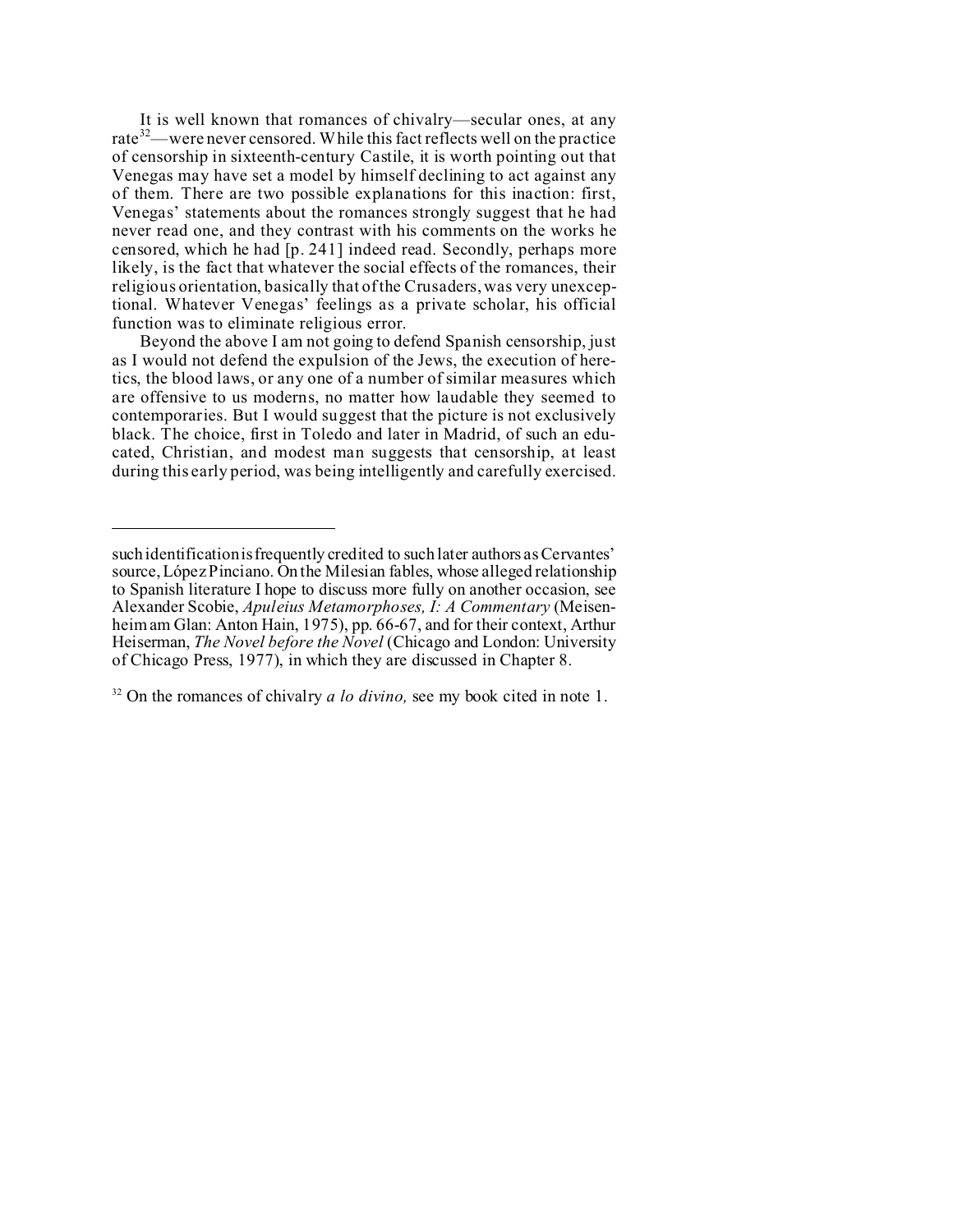It is well known that romances of chivalry—secular ones, at any rate<sup>32</sup>—were never censored. While this fact reflects well on the practice of censorship in sixteenth-century Castile, it is worth pointing out that Venegas may have set a model by himself declining to act against any of them. There are two possible explanations for this inaction: first, Venegas' statements about the romances strongly suggest that he had never read one, and they contrast with his comments on the works he censored, which he had [p. 241] indeed read. Secondly, perhaps more likely, is the fact that whatever the social effects of the romances, their religious orientation, basically that of the Crusaders, was very unexceptional. Whatever Venegas' feelings as a private scholar, his official function was to eliminate religious error.

Beyond the above I am not going to defend Spanish censorship, just as I would not defend the expulsion of the Jews, the execution of heretics, the blood laws, or any one of a number of similar measures which are offensive to us moderns, no matter how laudable they seemed to contemporaries. But I would suggest that the picture is not exclusively black. The choice, first in Toledo and later in Madrid, of such an educated, Christian, and modest man suggests that censorship, at least during this early period, was being intelligently and carefully exercised.

such identification is frequently credited to such later authors as Cervantes' source, López Pinciano. On the Milesian fables, whose alleged relationship to Spanish literature I hope to discuss more fully on another occasion, see Alexander Scobie, *Apuleius Metamorphoses, I: A Commentary* (Meisenheim am Glan: Anton Hain, 1975), pp. 66-67, and for their context, Arthur Heiserman, *The Novel before the Novel* (Chicago and London: University of Chicago Press, 1977), in which they are discussed in Chapter 8.

<sup>&</sup>lt;sup>32</sup> On the romances of chivalry *a lo divino*, see my book cited in note 1.